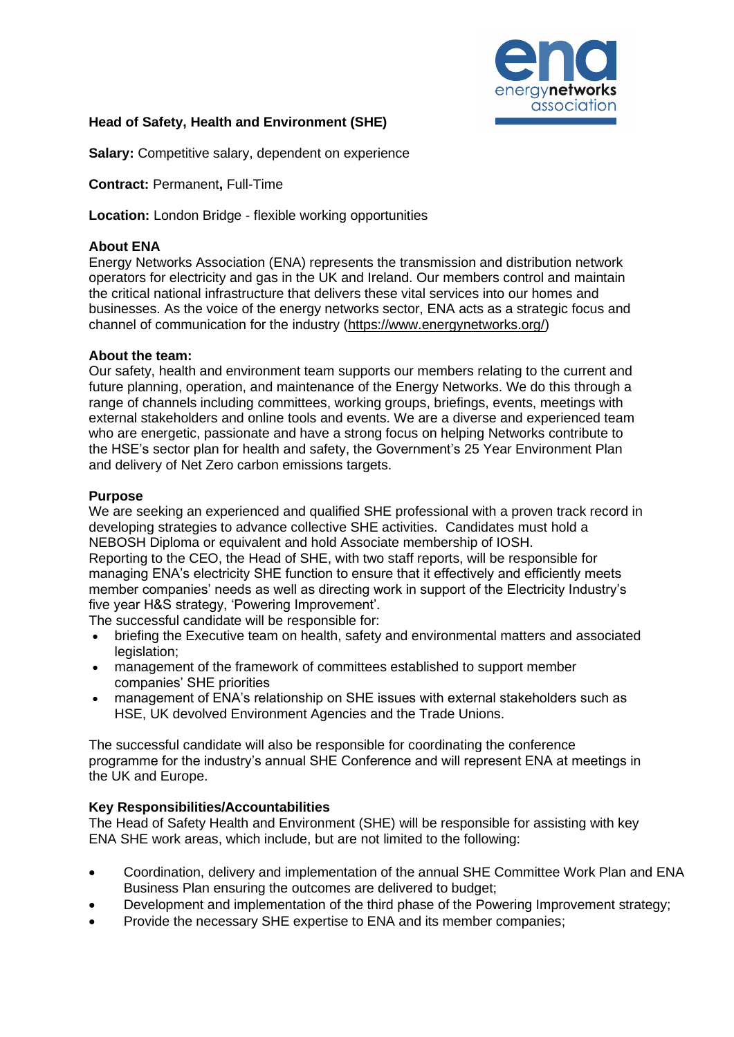

# **Head of Safety, Health and Environment (SHE)**

**Salary:** Competitive salary, dependent on experience

**Contract:** Permanent**,** Full-Time

**Location:** London Bridge - flexible working opportunities

## **About ENA**

Energy Networks Association (ENA) represents the transmission and distribution network operators for electricity and gas in the UK and Ireland. Our members control and maintain the critical national infrastructure that delivers these vital services into our homes and businesses. As the voice of the energy networks sector, ENA acts as a strategic focus and channel of communication for the industry [\(https://www.energynetworks.org/\)](https://www.energynetworks.org/)

#### **About the team:**

Our safety, health and environment team supports our members relating to the current and future planning, operation, and maintenance of the Energy Networks. We do this through a range of channels including committees, working groups, briefings, events, meetings with external stakeholders and online tools and events. We are a diverse and experienced team who are energetic, passionate and have a strong focus on helping Networks contribute to the HSE's sector plan for health and safety, the Government's 25 Year Environment Plan and delivery of Net Zero carbon emissions targets.

#### **Purpose**

We are seeking an experienced and qualified SHE professional with a proven track record in developing strategies to advance collective SHE activities. Candidates must hold a NEBOSH Diploma or equivalent and hold Associate membership of IOSH. Reporting to the CEO, the Head of SHE, with two staff reports, will be responsible for managing ENA's electricity SHE function to ensure that it effectively and efficiently meets member companies' needs as well as directing work in support of the Electricity Industry's five year H&S strategy, 'Powering Improvement'.

The successful candidate will be responsible for:

- briefing the Executive team on health, safety and environmental matters and associated legislation;
- management of the framework of committees established to support member companies' SHE priorities
- management of ENA's relationship on SHE issues with external stakeholders such as HSE, UK devolved Environment Agencies and the Trade Unions.

The successful candidate will also be responsible for coordinating the conference programme for the industry's annual SHE Conference and will represent ENA at meetings in the UK and Europe.

## **Key Responsibilities/Accountabilities**

The Head of Safety Health and Environment (SHE) will be responsible for assisting with key ENA SHE work areas, which include, but are not limited to the following:

- Coordination, delivery and implementation of the annual SHE Committee Work Plan and ENA Business Plan ensuring the outcomes are delivered to budget;
- Development and implementation of the third phase of the Powering Improvement strategy;
- Provide the necessary SHE expertise to ENA and its member companies;